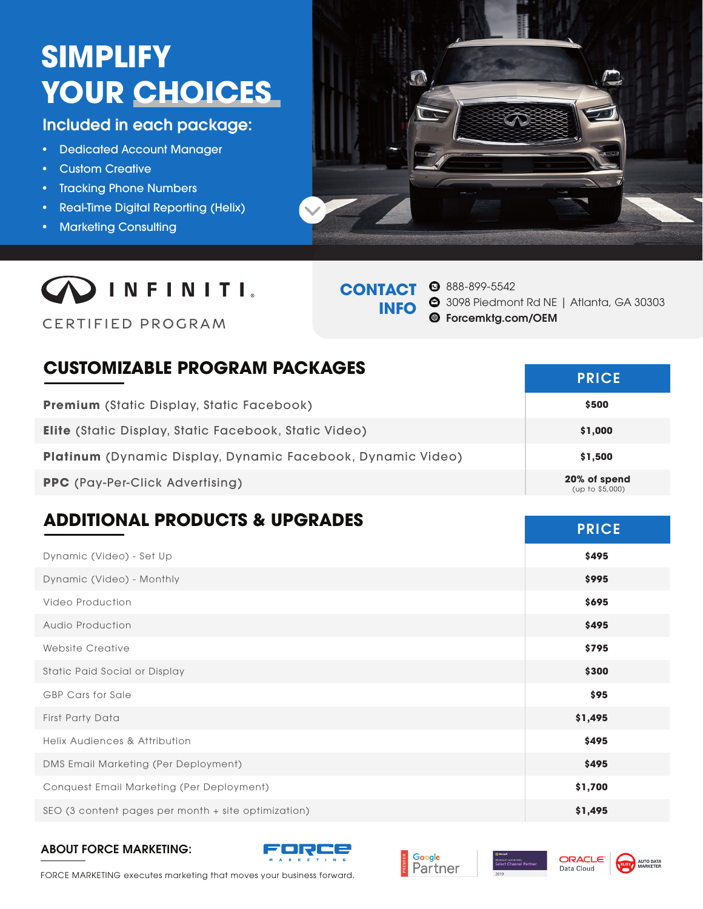# **SIMPLIFY YOUR CHOICES**

# Included in each package:

- Dedicated Account Manager
- Custom Creative
- Tracking Phone Numbers
- Real-Time Digital Reporting (Helix)
- Marketing Consulting





CERTIFIED PROGRAM

# **CONTACT INFO**

888-899-5542 3098 Piedmont Rd NE | Atlanta, GA 30303

Forcemktg.com/OEM

# **CUSTOMIZABLE PROGRAM PACKAGES**

| <b>Premium</b> (Static Display, Static Facebook)            | \$500                           |
|-------------------------------------------------------------|---------------------------------|
| Elite (Static Display, Static Facebook, Static Video)       | \$1,000                         |
| Platinum (Dynamic Display, Dynamic Facebook, Dynamic Video) | \$1,500                         |
| <b>PPC</b> (Pay-Per-Click Advertising)                      | 20% of spend<br>(up to \$5,000) |

# **ADDITIONAL PRODUCTS & UPGRADES PRICE**

| Dynamic (Video) - Set Up                            | \$495   |
|-----------------------------------------------------|---------|
| Dynamic (Video) - Monthly                           | \$995   |
| Video Production                                    | \$695   |
| <b>Audio Production</b>                             | \$495   |
| Website Creative                                    | \$795   |
| Static Paid Social or Display                       | \$300   |
| <b>GBP Cars for Sale</b>                            | \$95    |
| <b>First Party Data</b>                             | \$1,495 |
| <b>Helix Audiences &amp; Attribution</b>            | \$495   |
| DMS Email Marketing (Per Deployment)                | \$495   |
| Conquest Email Marketing (Per Deployment)           | \$1,700 |
| SEO (3 content pages per month + site optimization) | \$1,495 |

#### ABOUT FORCE MARKETING:









FORCE MARKETING executes marketing that moves your business forward.